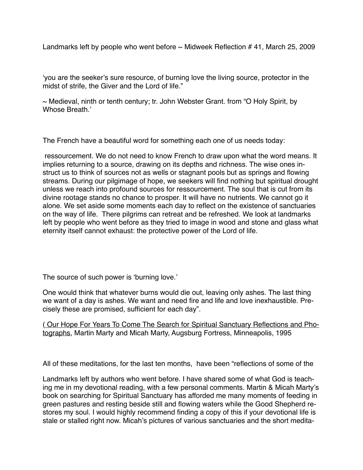Landmarks left by people who went before  $\sim$  Midweek Reflection # 41, March 25, 2009

'you are the seeker's sure resource, of burning love the living source, protector in the midst of strife, the Giver and the Lord of life."

 $\sim$  Medieval, ninth or tenth century; tr. John Webster Grant. from "O Holy Spirit, by Whose Breath.'

The French have a beautiful word for something each one of us needs today:

 ressourcement. We do not need to know French to draw upon what the word means. It implies returning to a source, drawing on its depths and richness. The wise ones instruct us to think of sources not as wells or stagnant pools but as springs and flowing streams. During our pilgimage of hope, we seekers will find nothing but spiritual drought unless we reach into profound sources for ressourcement. The soul that is cut from its divine rootage stands no chance to prosper. It will have no nutrients. We cannot go it alone. We set aside some moments each day to reflect on the existence of sanctuaries on the way of life. There pilgrims can retreat and be refreshed. We look at landmarks left by people who went before as they tried to image in wood and stone and glass what eternity itself cannot exhaust: the protective power of the Lord of life.

The source of such power is 'burning love.'

One would think that whatever burns would die out, leaving only ashes. The last thing we want of a day is ashes. We want and need fire and life and love inexhaustible. Precisely these are promised, sufficient for each day".

( Our Hope For Years To Come The Search for Spiritual Sanctuary Reflections and Photographs, Martin Marty and Micah Marty, Augsburg Fortress, Minneapolis, 1995

All of these meditations, for the last ten months, have been "reflections of some of the

Landmarks left by authors who went before. I have shared some of what God is teaching me in my devotional reading, with a few personal comments. Martin & Micah Marty's book on searching for Spiritual Sanctuary has afforded me many moments of feeding in green pastures and resting beside still and flowing waters while the Good Shepherd restores my soul. I would highly recommend finding a copy of this if your devotional life is stale or stalled right now. Micah's pictures of various sanctuaries and the short medita-